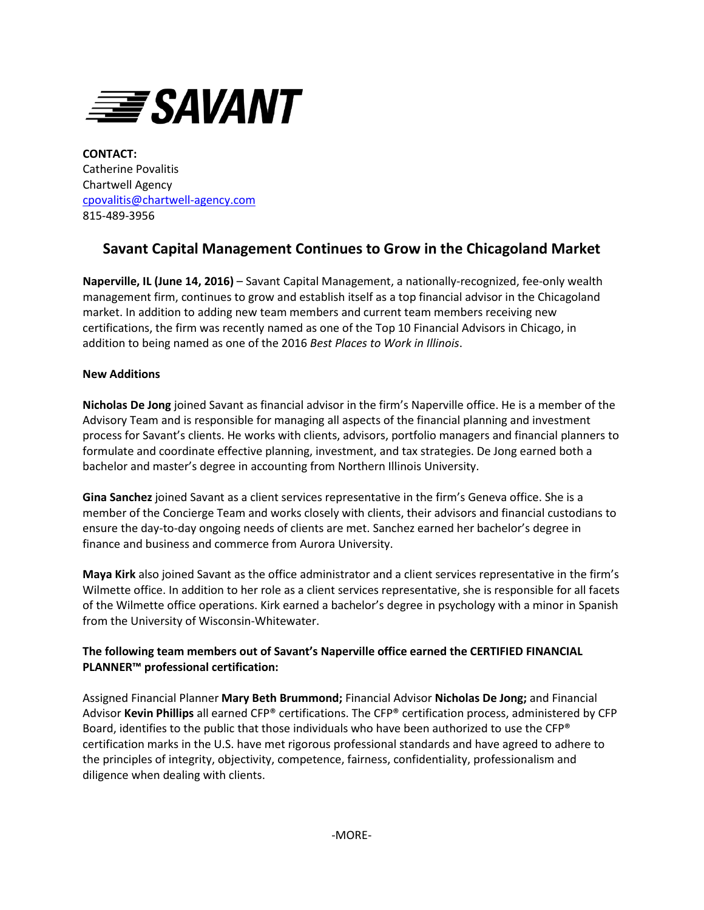

**CONTACT:** Catherine Povalitis Chartwell Agency [cpovalitis@chartwell-agency.com](mailto:cpovalitis@chartwell-agency.com) 815-489-3956

## **Savant Capital Management Continues to Grow in the Chicagoland Market**

**Naperville, IL (June 14, 2016)** – Savant Capital Management, a nationally-recognized, fee-only wealth management firm, continues to grow and establish itself as a top financial advisor in the Chicagoland market. In addition to adding new team members and current team members receiving new certifications, the firm was recently named as one of the Top 10 Financial Advisors in Chicago, in addition to being named as one of the 2016 *Best Places to Work in Illinois*.

## **New Additions**

**Nicholas De Jong** joined Savant as financial advisor in the firm's Naperville office. He is a member of the Advisory Team and is responsible for managing all aspects of the financial planning and investment process for Savant's clients. He works with clients, advisors, portfolio managers and financial planners to formulate and coordinate effective planning, investment, and tax strategies. De Jong earned both a bachelor and master's degree in accounting from Northern Illinois University.

**Gina Sanchez** joined Savant as a client services representative in the firm's Geneva office. She is a member of the Concierge Team and works closely with clients, their advisors and financial custodians to ensure the day-to-day ongoing needs of clients are met. Sanchez earned her bachelor's degree in finance and business and commerce from Aurora University.

**Maya Kirk** also joined Savant as the office administrator and a client services representative in the firm's Wilmette office. In addition to her role as a client services representative, she is responsible for all facets of the Wilmette office operations. Kirk earned a bachelor's degree in psychology with a minor in Spanish from the University of Wisconsin-Whitewater.

## **The following team members out of Savant's Naperville office earned the CERTIFIED FINANCIAL PLANNER™ professional certification:**

Assigned Financial Planner **Mary Beth Brummond;** Financial Advisor **Nicholas De Jong;** and Financial Advisor **Kevin Phillips** all earned CFP® certifications. The CFP® certification process, administered by CFP Board, identifies to the public that those individuals who have been authorized to use the CFP® certification marks in the U.S. have met rigorous professional standards and have agreed to adhere to the principles of integrity, objectivity, competence, fairness, confidentiality, professionalism and diligence when dealing with clients.